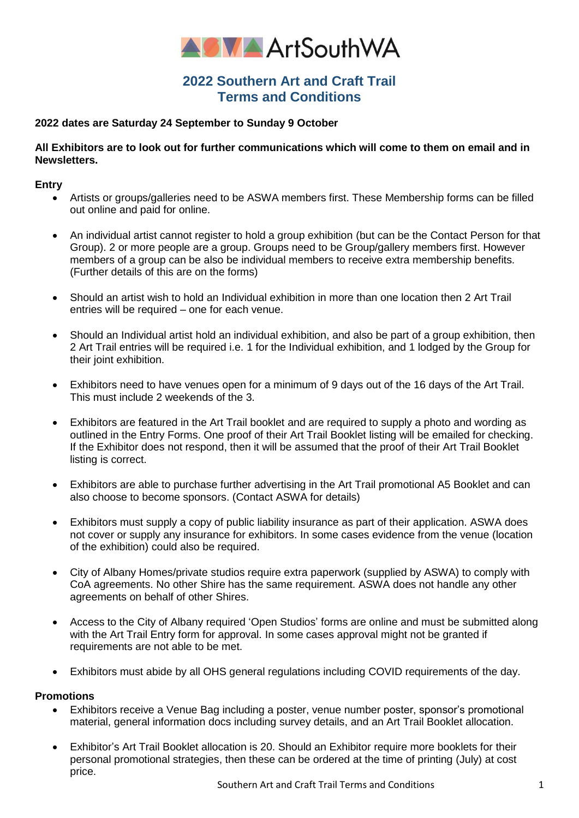

# **2022 Southern Art and Craft Trail Terms and Conditions**

## **2022 dates are Saturday 24 September to Sunday 9 October**

## **All Exhibitors are to look out for further communications which will come to them on email and in Newsletters.**

### **Entry**

- Artists or groups/galleries need to be ASWA members first. These Membership forms can be filled out online and paid for online.
- An individual artist cannot register to hold a group exhibition (but can be the Contact Person for that Group). 2 or more people are a group. Groups need to be Group/gallery members first. However members of a group can be also be individual members to receive extra membership benefits. (Further details of this are on the forms)
- Should an artist wish to hold an Individual exhibition in more than one location then 2 Art Trail entries will be required – one for each venue.
- Should an Individual artist hold an individual exhibition, and also be part of a group exhibition, then 2 Art Trail entries will be required i.e. 1 for the Individual exhibition, and 1 lodged by the Group for their joint exhibition.
- Exhibitors need to have venues open for a minimum of 9 days out of the 16 days of the Art Trail. This must include 2 weekends of the 3.
- Exhibitors are featured in the Art Trail booklet and are required to supply a photo and wording as outlined in the Entry Forms. One proof of their Art Trail Booklet listing will be emailed for checking. If the Exhibitor does not respond, then it will be assumed that the proof of their Art Trail Booklet listing is correct.
- Exhibitors are able to purchase further advertising in the Art Trail promotional A5 Booklet and can also choose to become sponsors. (Contact ASWA for details)
- Exhibitors must supply a copy of public liability insurance as part of their application. ASWA does not cover or supply any insurance for exhibitors. In some cases evidence from the venue (location of the exhibition) could also be required.
- City of Albany Homes/private studios require extra paperwork (supplied by ASWA) to comply with CoA agreements. No other Shire has the same requirement. ASWA does not handle any other agreements on behalf of other Shires.
- Access to the City of Albany required 'Open Studios' forms are online and must be submitted along with the Art Trail Entry form for approval. In some cases approval might not be granted if requirements are not able to be met.
- Exhibitors must abide by all OHS general regulations including COVID requirements of the day.

### **Promotions**

- Exhibitors receive a Venue Bag including a poster, venue number poster, sponsor's promotional material, general information docs including survey details, and an Art Trail Booklet allocation.
- Exhibitor's Art Trail Booklet allocation is 20. Should an Exhibitor require more booklets for their personal promotional strategies, then these can be ordered at the time of printing (July) at cost price.